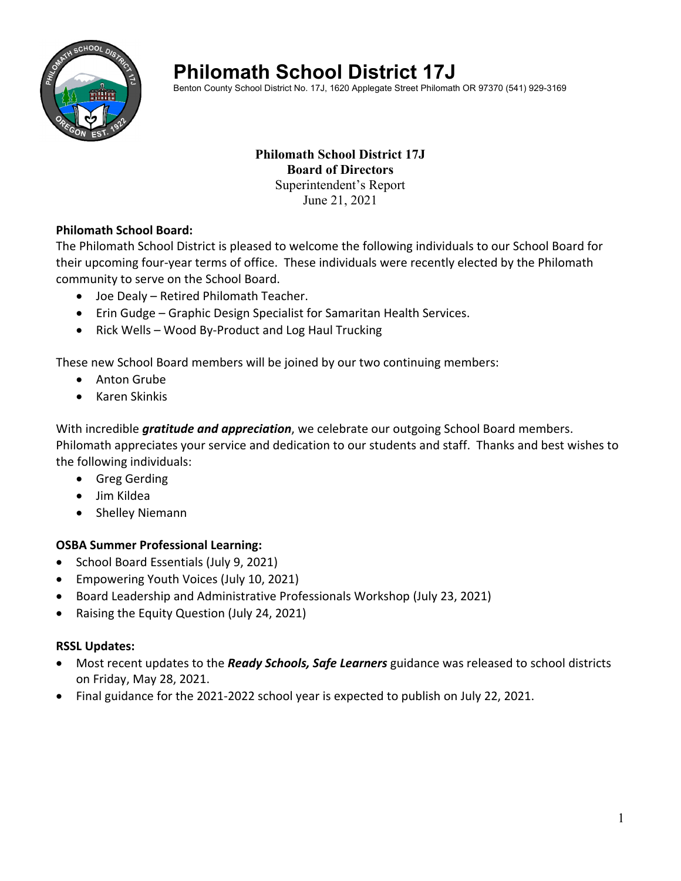

# **Philomath School District 17J**

Benton County School District No. 17J, 1620 Applegate Street Philomath OR 97370 (541) 929-3169

## **Philomath School District 17J Board of Directors**  Superintendent's Report June 21, 2021

## **Philomath School Board:**

The Philomath School District is pleased to welcome the following individuals to our School Board for their upcoming four‐year terms of office. These individuals were recently elected by the Philomath community to serve on the School Board.

- Joe Dealy Retired Philomath Teacher.
- Erin Gudge Graphic Design Specialist for Samaritan Health Services.
- Rick Wells Wood By-Product and Log Haul Trucking

These new School Board members will be joined by our two continuing members:

- Anton Grube
- Karen Skinkis

With incredible *gratitude and appreciation*, we celebrate our outgoing School Board members. Philomath appreciates your service and dedication to our students and staff. Thanks and best wishes to the following individuals:

- **•** Greg Gerding
- Jim Kildea
- Shelley Niemann

# **OSBA Summer Professional Learning:**

- School Board Essentials (July 9, 2021)
- Empowering Youth Voices (July 10, 2021)
- Board Leadership and Administrative Professionals Workshop (July 23, 2021)
- Raising the Equity Question (July 24, 2021)

# **RSSL Updates:**

- Most recent updates to the *Ready Schools, Safe Learners* guidance was released to school districts on Friday, May 28, 2021.
- Final guidance for the 2021‐2022 school year is expected to publish on July 22, 2021.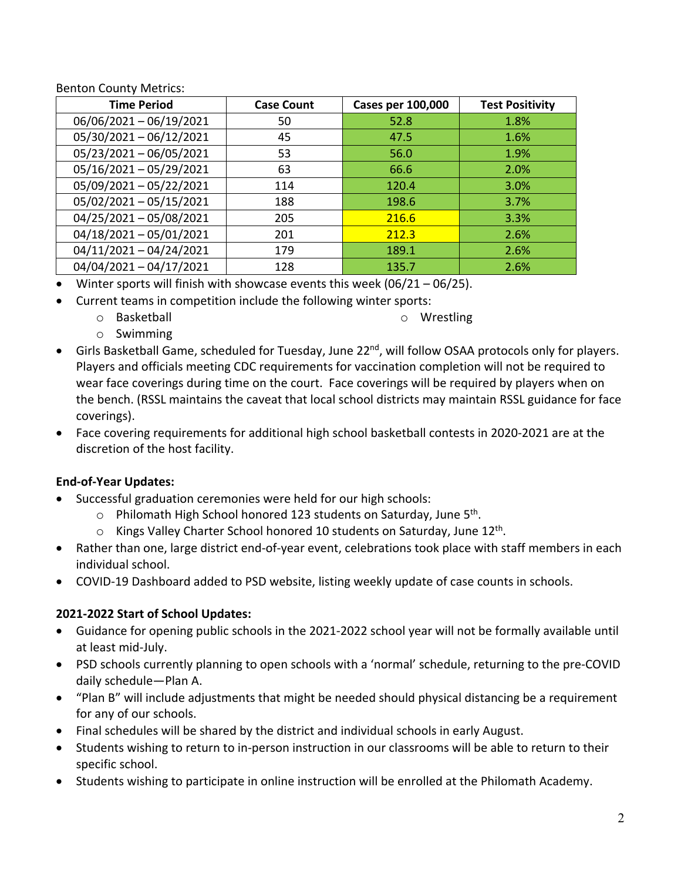Benton County Metrics:

| <b>Time Period</b>        | <b>Case Count</b> | <b>Cases per 100,000</b> | <b>Test Positivity</b> |
|---------------------------|-------------------|--------------------------|------------------------|
| 06/06/2021-06/19/2021     | 50                | 52.8                     | 1.8%                   |
| 05/30/2021-06/12/2021     | 45                | 47.5                     | 1.6%                   |
| 05/23/2021-06/05/2021     | 53                | 56.0                     | 1.9%                   |
| $05/16/2021 - 05/29/2021$ | 63                | 66.6                     | 2.0%                   |
| 05/09/2021-05/22/2021     | 114               | 120.4                    | 3.0%                   |
| 05/02/2021-05/15/2021     | 188               | 198.6                    | 3.7%                   |
| 04/25/2021-05/08/2021     | 205               | 216.6                    | 3.3%                   |
| $04/18/2021 - 05/01/2021$ | 201               | 212.3                    | 2.6%                   |
| $04/11/2021 - 04/24/2021$ | 179               | 189.1                    | 2.6%                   |
| 04/04/2021-04/17/2021     | 128               | 135.7                    | 2.6%                   |

- Winter sports will finish with showcase events this week  $(06/21 06/25)$ .
- Current teams in competition include the following winter sports:
	- o Basketball

o Wrestling

- o Swimming
- Girls Basketball Game, scheduled for Tuesday, June 22<sup>nd</sup>, will follow OSAA protocols only for players. Players and officials meeting CDC requirements for vaccination completion will not be required to wear face coverings during time on the court. Face coverings will be required by players when on the bench. (RSSL maintains the caveat that local school districts may maintain RSSL guidance for face coverings).
- Face covering requirements for additional high school basketball contests in 2020‐2021 are at the discretion of the host facility.

# **End‐of‐Year Updates:**

- Successful graduation ceremonies were held for our high schools:
	- $\circ$  Philomath High School honored 123 students on Saturday, June 5<sup>th</sup>.
	- $\circ$  Kings Valley Charter School honored 10 students on Saturday, June 12<sup>th</sup>.
- Rather than one, large district end-of-year event, celebrations took place with staff members in each individual school.
- COVID-19 Dashboard added to PSD website, listing weekly update of case counts in schools.

# **2021‐2022 Start of School Updates:**

- Guidance for opening public schools in the 2021‐2022 school year will not be formally available until at least mid‐July.
- PSD schools currently planning to open schools with a 'normal' schedule, returning to the pre‐COVID daily schedule—Plan A.
- "Plan B" will include adjustments that might be needed should physical distancing be a requirement for any of our schools.
- Final schedules will be shared by the district and individual schools in early August.
- Students wishing to return to in-person instruction in our classrooms will be able to return to their specific school.
- Students wishing to participate in online instruction will be enrolled at the Philomath Academy.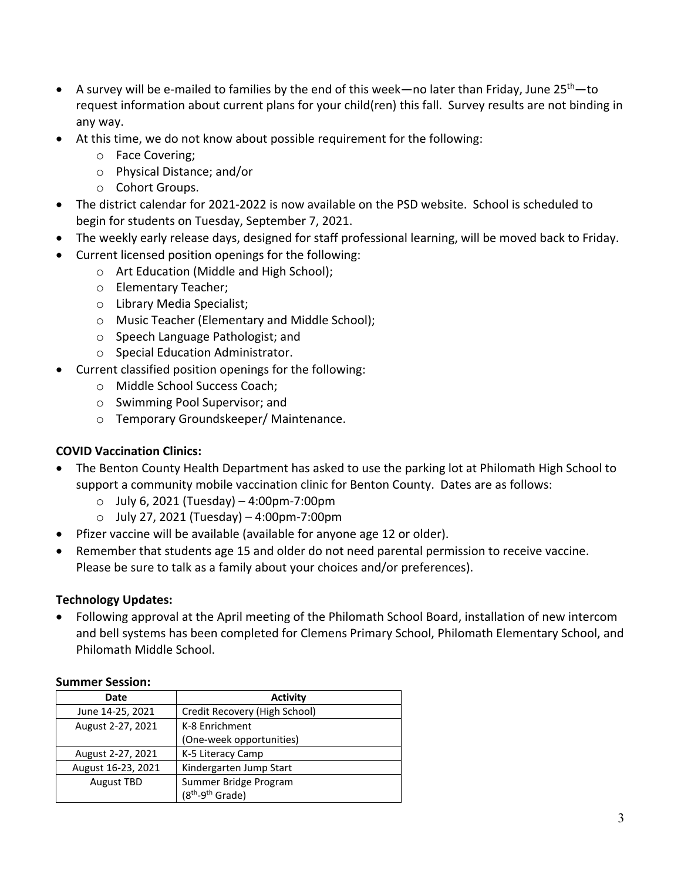- A survey will be e-mailed to families by the end of this week—no later than Friday, June  $25<sup>th</sup>$ —to request information about current plans for your child(ren) this fall. Survey results are not binding in any way.
- At this time, we do not know about possible requirement for the following:
	- o Face Covering;
	- o Physical Distance; and/or
	- o Cohort Groups.
- The district calendar for 2021‐2022 is now available on the PSD website. School is scheduled to begin for students on Tuesday, September 7, 2021.
- The weekly early release days, designed for staff professional learning, will be moved back to Friday.
- Current licensed position openings for the following:
	- o Art Education (Middle and High School);
	- o Elementary Teacher;
	- o Library Media Specialist;
	- o Music Teacher (Elementary and Middle School);
	- o Speech Language Pathologist; and
	- o Special Education Administrator.
- Current classified position openings for the following:
	- o Middle School Success Coach;
	- o Swimming Pool Supervisor; and
	- o Temporary Groundskeeper/ Maintenance.

# **COVID Vaccination Clinics:**

- The Benton County Health Department has asked to use the parking lot at Philomath High School to support a community mobile vaccination clinic for Benton County. Dates are as follows:
	- o July 6, 2021 (Tuesday) 4:00pm‐7:00pm
	- o July 27, 2021 (Tuesday) 4:00pm‐7:00pm
- Pfizer vaccine will be available (available for anyone age 12 or older).
- Remember that students age 15 and older do not need parental permission to receive vaccine. Please be sure to talk as a family about your choices and/or preferences).

# **Technology Updates:**

 Following approval at the April meeting of the Philomath School Board, installation of new intercom and bell systems has been completed for Clemens Primary School, Philomath Elementary School, and Philomath Middle School.

#### **Summer Session:**

| Date               | <b>Activity</b>                          |  |
|--------------------|------------------------------------------|--|
| June 14-25, 2021   | Credit Recovery (High School)            |  |
| August 2-27, 2021  | K-8 Enrichment                           |  |
|                    | (One-week opportunities)                 |  |
| August 2-27, 2021  | K-5 Literacy Camp                        |  |
| August 16-23, 2021 | Kindergarten Jump Start                  |  |
| <b>August TBD</b>  | Summer Bridge Program                    |  |
|                    | (8 <sup>th</sup> -9 <sup>th</sup> Grade) |  |